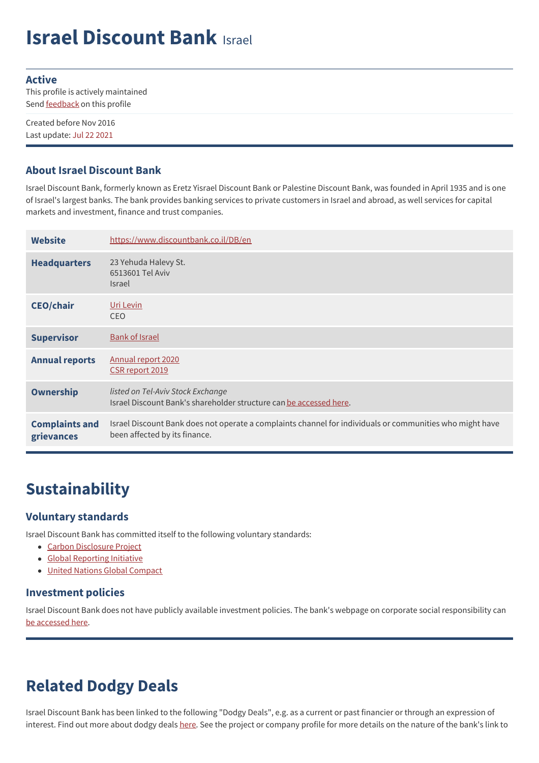# **Israel Discount Bank** Israel

#### **Active**

This profile is actively maintained Send **[feedback](https://www.banktrack.org/feedback/bankprofile/israel_discount_bank)** on this profile

Created before Nov 2016 Last update: Jul 22 2021

#### **About Israel Discount Bank**

Israel Discount Bank, formerly known as Eretz Yisrael Discount Bank or Palestine Discount Bank, was founded in April 1935 and is one of Israel's largest banks. The bank provides banking services to private customers in Israel and abroad, as well services for capital markets and investment, finance and trust companies.

| <b>Website</b>                      | https://www.discountbank.co.il/DB/en                                                                                                      |
|-------------------------------------|-------------------------------------------------------------------------------------------------------------------------------------------|
| <b>Headquarters</b>                 | 23 Yehuda Halevy St.<br>6513601 Tel Aviv<br><b>Israel</b>                                                                                 |
| <b>CEO/chair</b>                    | Uri Levin<br><b>CEO</b>                                                                                                                   |
| <b>Supervisor</b>                   | <b>Bank of Israel</b>                                                                                                                     |
| <b>Annual reports</b>               | Annual report 2020<br>CSR report 2019                                                                                                     |
| <b>Ownership</b>                    | listed on Tel-Aviv Stock Exchange<br>Israel Discount Bank's shareholder structure can be accessed here.                                   |
| <b>Complaints and</b><br>grievances | Israel Discount Bank does not operate a complaints channel for individuals or communities who might have<br>been affected by its finance. |

## **Sustainability**

#### **Voluntary standards**

Israel Discount Bank has committed itself to the following voluntary standards:

- Carbon [Disclosure](https://www.cdp.net/en-US/Pages/HomePage.aspx) Project
- Global [Reporting](http://www.globalreporting.org) Initiative
- United Nations Global [Compact](http://www.unglobalcompact.org/)

#### **Investment policies**

Israel Discount Bank does not have publicly available investment policies. The bank's webpage on corporate social responsibility can be [accessed](https://www.discountbank.co.il/DB/en/discount-group/csr/policy-values-and-vision) here.

## **Related Dodgy Deals**

Israel Discount Bank has been linked to the following "Dodgy Deals", e.g. as a current or past financier or through an expression of interest. Find out more about dodgy deals [here](https://www.banktrack.org/show/page/what_are_dodgy_deals). See the project or company profile for more details on the nature of the bank's link to